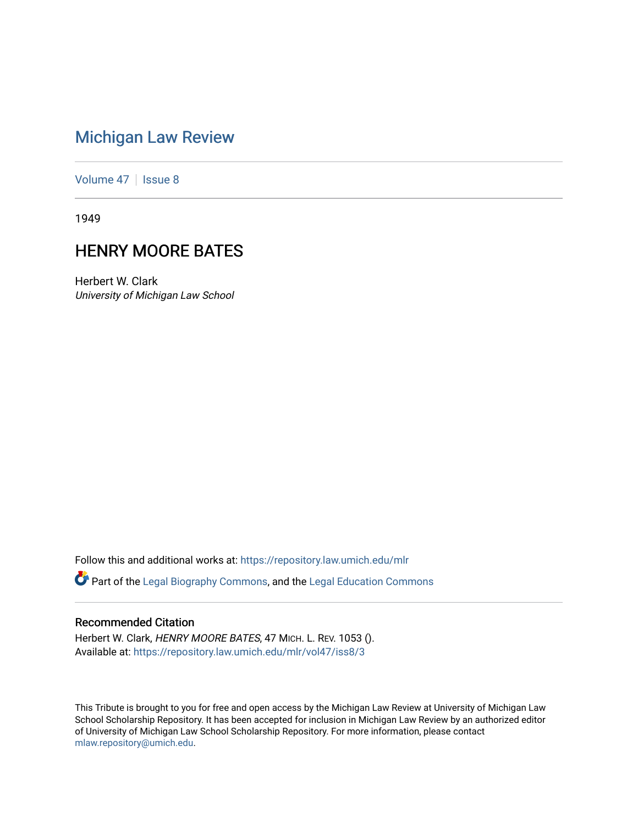## [Michigan Law Review](https://repository.law.umich.edu/mlr)

[Volume 47](https://repository.law.umich.edu/mlr/vol47) | [Issue 8](https://repository.law.umich.edu/mlr/vol47/iss8)

1949

## HENRY MOORE BATES

Herbert W. Clark University of Michigan Law School

Follow this and additional works at: [https://repository.law.umich.edu/mlr](https://repository.law.umich.edu/mlr?utm_source=repository.law.umich.edu%2Fmlr%2Fvol47%2Fiss8%2F3&utm_medium=PDF&utm_campaign=PDFCoverPages) 

Part of the [Legal Biography Commons,](http://network.bepress.com/hgg/discipline/834?utm_source=repository.law.umich.edu%2Fmlr%2Fvol47%2Fiss8%2F3&utm_medium=PDF&utm_campaign=PDFCoverPages) and the [Legal Education Commons](http://network.bepress.com/hgg/discipline/857?utm_source=repository.law.umich.edu%2Fmlr%2Fvol47%2Fiss8%2F3&utm_medium=PDF&utm_campaign=PDFCoverPages) 

## Recommended Citation

Herbert W. Clark, HENRY MOORE BATES, 47 MICH. L. REV. 1053 (). Available at: [https://repository.law.umich.edu/mlr/vol47/iss8/3](https://repository.law.umich.edu/mlr/vol47/iss8/3?utm_source=repository.law.umich.edu%2Fmlr%2Fvol47%2Fiss8%2F3&utm_medium=PDF&utm_campaign=PDFCoverPages)

This Tribute is brought to you for free and open access by the Michigan Law Review at University of Michigan Law School Scholarship Repository. It has been accepted for inclusion in Michigan Law Review by an authorized editor of University of Michigan Law School Scholarship Repository. For more information, please contact [mlaw.repository@umich.edu.](mailto:mlaw.repository@umich.edu)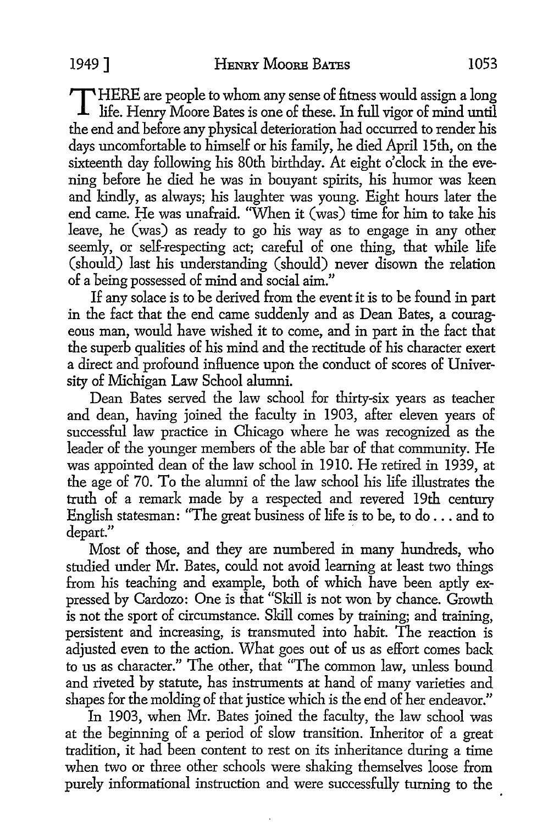T HERE are people to whom any sense of fitness would assign a long life. Henry Moore Bates is one of these. In full vigor of mind until the end and before any physical deterioration had occurred to render his days uncomfortable to himself or his family, he died April 15th, on the sixteenth day following his 80th birthday. At eight o'clock in the evening before he died he was in bouyant spirits, his humor was keen and kindly, as always; his laughter was young. Eight hours later the end came. He was unafraid. "When it (was) time for him to take his leave, he (was) as ready to go his way as to engage in any other seemly, or self-respecting act; careful of one thing, that while life (should) last his understanding (should) never disown the relation of a being possessed of mind and social aim."

If any solace is to be derived from the event it is to be found in part in the fact that the end came suddenly and as Dean Bates, a courageous man, would have wished it to come, and in part in the fact that the superb qualities of his mind and the rectitude of his character exert a direct and profound influence upon the conduct of scores of University of Michigan Law School alumni.

Dean Bates served the law school for thirty-six years as teacher and dean, having joined the faculty in 1903, after eleven years of successful law practice in Chicago where he was recognized as the leader of the younger members of the able bar of that community. He was appointed dean of the law school in 1910. He retired in 1939, at the age of 70. To the alumni of the law school his life illustrates the truth of a remark made by a respected and revered 19th century English statesman: "The great business of life is to be, to do ... and to depart."

Most of those, and they are numbered in many hundreds, who studied under Mr. Bates, could not avoid learning at least two things from his teaching and example, both of which have been aptly expressed by Cardozo: One is that "Skill is not won by chance. Growth is not the sport of circumstance. Skill comes by training; and training, persistent and increasing, is transmuted into habit. The reaction is adjusted even to the action. What goes out of us as effort comes back to us as character." The other, that "The common law, unless bound and riveted by statute, has instruments at hand of many varieties and shapes for the molding of that justice which is the end of her endeavor."

In 1903, when Mr. Bates joined the faculty, the law school was at the beginning of a period of slow transition. Inheritor of a great tradition, it had been content to rest on its inheritance during a time when two or three other schools were shaking themselves loose from purely informational instruction and were successfully turning to the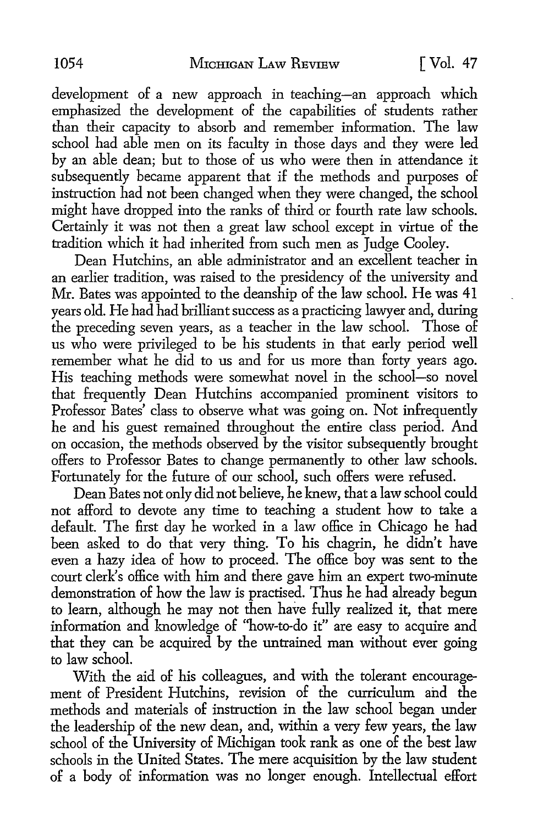development of a new approach in teaching-an approach which emphasized the development of the capabilities of students rather than their capacity to absorb and remember information. The law school had able men on its faculty in those days and they were led by an able dean; but to those of us who were then in attendance it subsequently became apparent that if the methods and purposes of instruction had not been changed when they were changed, the school might have dropped into the ranks of third or fourth rate law schools. Certainly it was not then a great law school except in virtue of the tradition which it had inherited from such men as Judge Cooley.

Dean Hutchins, an able administrator and an excellent teacher in an earlier tradition, was raised to the presidency of the university and Mr. Bates was appointed to the deanship of the law school. He was 41 years old. He had had brilliant success as a practicing lawyer and, during the preceding seven years, as a teacher in the law school. Those of us who were privileged to be his students in that early period well remember what he did to us and for us more than forty years ago. His teaching methods were somewhat novel in the school-so novel that frequently Dean Hutchins accompanied prominent visitors to Professor Bates' class to observe what was going on. Not infrequently he and his guest remained throughout the entire class period. And on occasion, the methods observed by the visitor subsequently brought offers to Professor Bates to change permanently to other law schools. Fortunately for the future of our school, such offers were refused.

Dean Bates not only did not believe, he knew, that a law school could not afford to devote any time to teaching a student how to take a default. The first day he worked in a law office in Chicago he had been asked to do that very thing. To his chagrin, he didn't have even a hazy idea of how to proceed. The office boy was sent to the court clerk's office with him and there gave him an expert two-minute demonstration of how the law is practised. Thus he had already begun to learn, although he may not then have fully realized it, that mere information and knowledge of ''how-to-do it" are easy to acquire and that they can be acquired by the untrained man without ever going to law school.

With the aid of his colleagues, and with the tolerant encouragement of President Hutchins, revision of the curriculum and the methods and materials of instruction in the law school began under the leadership of the new dean, and, within a very few years, the law school of the University of Michigan took rank as one of the best law schools in the United States. The mere acquisition by the law student of a body of information was no longer enough. Intellectual effort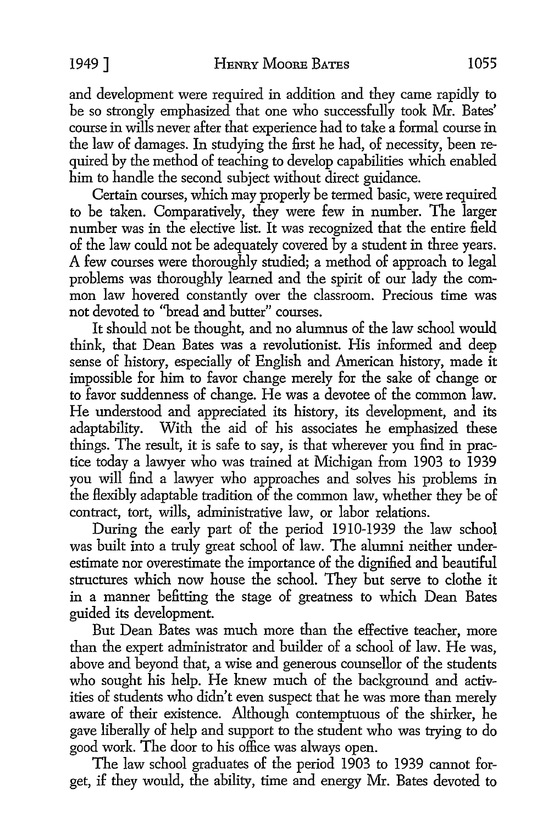and development were required in addition and they came rapidly to be so strongly emphasized that one who successfully took Mr. Bates' course in wills never after that experience had to take a formal course in the law of damages. In studying the first he had, of necessity, been required by the method of teaching to develop capabilities which enabled him to handle the second subject without direct guidance.

Certain courses, which may properly be termed basic, were required to be taken. Comparatively, they were few in number. The larger number was in the elective list. It was recognized that the entire field of the law could not be adequately covered by a student in three years. A few courses were thoroughly studied; a method of approach to legal problems was thoroughly learned and the spirit of our lady the common law hovered constantly over the classroom. Precious time was not devoted to ''bread and butter" courses.

It should not be thought, and no alumnus of the law school would think, that Dean Bates was a revolutionist. His informed and deep sense of history, especially of English and American history, made it impossible for him to favor change merely for the sake of change or to favor suddenness of change. He was a devotee of the common law. He understood and appreciated its history, its development, and its adaptability. With the aid of his associates he emphasized these things. The result, it is safe to say, is that wherever you find in practice today a lawyer who was trained at Michigan from 1903 to 1939 you will find a lawyer who approaches and solves his problems in the flexibly adaptable tradition of the common law, whether they be of contract, tort, wills, administrative law, or labor relations.

During the early part of the period 1910-1939 the law school was built into a truly great school of law. The alumni neither underestimate nor overestimate the importance of the dignified and beautiful structures which now house the school. They but serve *to* clothe it in a manner befitting the stage of greatness *to* which Dean Bates guided its development.

But Dean Bates was much more than the effective teacher, more than the expert administrator and builder of a school of law. He was, above and beyond that, a wise and generous counsellor of the students who sought his help. He knew much of the background and activities of students who didn't even suspect that he was more than merely aware of their existence. Although contemptuous of the shirker, he gave liberally of help and support *to* the student who was trying *to* do good work. The door *to* his office was always open.

The law school graduates of the period 1903 *to* 1939 cannot for*get,* if they would, the ability, time and energy Mr. Bates devoted *to*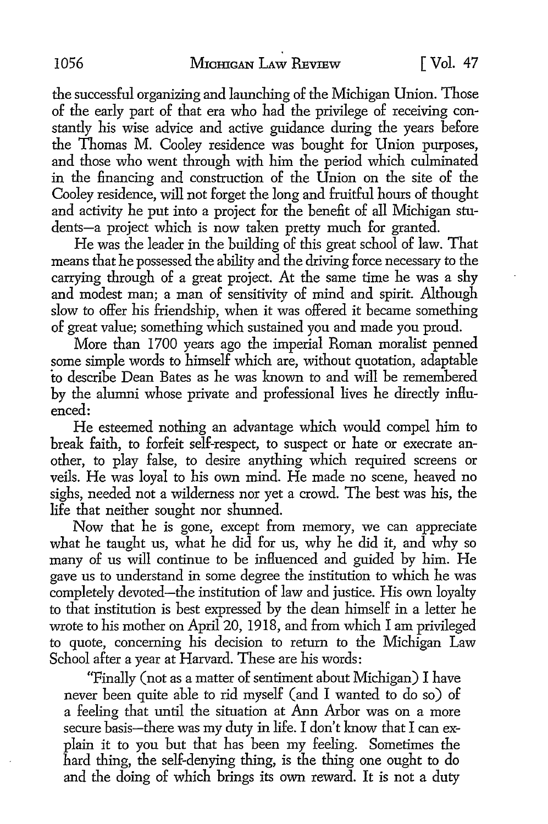the successful organizing and launching of the Michigan Union. Those of the early part of that era who had the privilege of receiving constantly his wise advice and active guidance during the years before the Thomas M. Cooley residence was bought for Union purposes, and those who went through with him the period which culminated in the financing and construction of the Union on the site of the Cooley residence, will not forget the long and fruitful hours of thought and activity he put into a project for the benefit of all Michigan students-a project which is now taken pretty much for granted.

He was the leader in the building of this great school of law. That means that he possessed the ability and the driving force necessary to the carrying through of a great project. At the same time he was a shy and modest man; a man of sensitivity of mind and spirit. Although slow to offer his friendship, when it was offered it became something of great value; something which sustained you and made you proud.

More than 1700 years ago the imperial Roman moralist penned some simple words to himself which are, without quotation, adaptable to describe Dean Bates as he was known to and will be remembered by the alumni whose private and professional lives he directly influenced:

He esteemed nothing an advantage which would compel him to break faith, to forfeit self-respect, to suspect or hate or execrate another, to play false, to desire anything which required screens or veils. He was loyal to his own mind. He made no scene, heaved no sighs, needed not a wilderness nor yet a crowd. The best was his, the life that neither sought nor shunned.

Now that he is gone, except from memory, we can appreciate what he taught us, what he did for us, why he did it, and why so many of us will continue to be influenced and guided by him. He gave us to understand in some degree the institution to which he was completely devoted-the institution of law and justice. His own loyalty to that institution is best expressed by the dean himself in a letter he wrote to his mother on April 20, 1918, and from which I am privileged to quote, concerning his decision to return to the Michigan Law School after a year at Harvard. These are his words:

"Finally (not as a matter of sentiment about Michigan) I have never been quite able to rid myself (and I wanted to do so) of a feeling that until the situation at Ann Arbor was on a more secure basis-there was my duty in life. I don't know that I can explain it to you but that has been my feeling. Sometimes the hard thing, the self-denying thing, is the thing one ought to do and the doing of which brings its own reward. It is not a duty